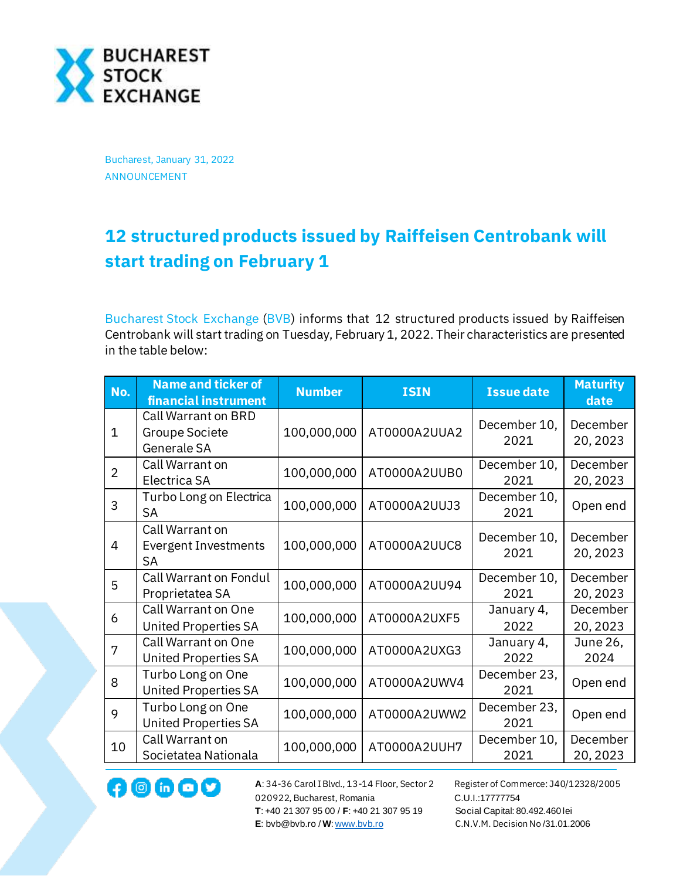

Bucharest, January 31, 2022 ANNOUNCEMENT

## **12 structured products issued by Raiffeisen Centrobank will start trading on February 1**

[Bucharest Stock Exchange](http://www.bvb.ro/) [\(BVB\)](https://bvb.ro/FinancialInstruments/Details/FinancialInstrumentsDetails.aspx?s=bvb) informs that 12 structured products issued by Raiffeisen Centrobank will start trading on Tuesday, February 1, 2022. Their characteristics are presented in the table below:

| No.            | <b>Name and ticker of</b><br>financial instrument           | <b>Number</b> | <b>ISIN</b>  | <b>Issue date</b>    | <b>Maturity</b><br>date |
|----------------|-------------------------------------------------------------|---------------|--------------|----------------------|-------------------------|
| 1              | Call Warrant on BRD<br><b>Groupe Societe</b><br>Generale SA | 100,000,000   | AT0000A2UUA2 | December 10,<br>2021 | December<br>20, 2023    |
| $\overline{2}$ | Call Warrant on<br>Electrica SA                             | 100,000,000   | AT0000A2UUB0 | December 10,<br>2021 | December<br>20, 2023    |
| 3              | Turbo Long on Electrica<br><b>SA</b>                        | 100,000,000   | AT0000A2UUJ3 | December 10,<br>2021 | Open end                |
| 4              | Call Warrant on<br><b>Evergent Investments</b><br><b>SA</b> | 100,000,000   | AT0000A2UUC8 | December 10,<br>2021 | December<br>20, 2023    |
| 5              | Call Warrant on Fondul<br>Proprietatea SA                   | 100,000,000   | AT0000A2UU94 | December 10,<br>2021 | December<br>20, 2023    |
| 6              | Call Warrant on One<br><b>United Properties SA</b>          | 100,000,000   | AT0000A2UXF5 | January 4,<br>2022   | December<br>20, 2023    |
| 7              | Call Warrant on One<br><b>United Properties SA</b>          | 100,000,000   | AT0000A2UXG3 | January 4,<br>2022   | June 26,<br>2024        |
| 8              | Turbo Long on One<br><b>United Properties SA</b>            | 100,000,000   | AT0000A2UWV4 | December 23,<br>2021 | Open end                |
| 9              | Turbo Long on One<br><b>United Properties SA</b>            | 100,000,000   | AT0000A2UWW2 | December 23,<br>2021 | Open end                |
| 10             | Call Warrant on<br>Societatea Nationala                     | 100,000,000   | AT0000A2UUH7 | December 10,<br>2021 | December<br>20, 2023    |

020922, Bucharest, Romania C.U.I.:17777754  **T**: +40 21 307 95 00 / **F**: +40 21 307 95 19 Social Capital: 80.492.460 lei **E**: bvb@bvb.ro / **W**[: www.bvb.ro](http://www.bvb.ro/) C.N.V.M. Decision No /31.01.2006

**A**: 34-36 Carol I Blvd., 13-14 Floor, Sector 2 Register of Commerce: J40/12328/2005